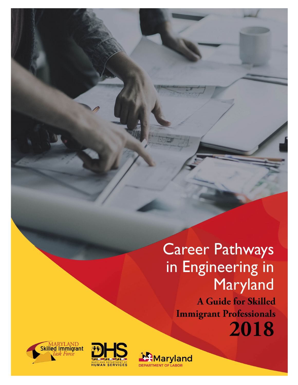Career Pathways in Engineering in Maryland

A Guide for Skilled **Immigrant Professionals** 







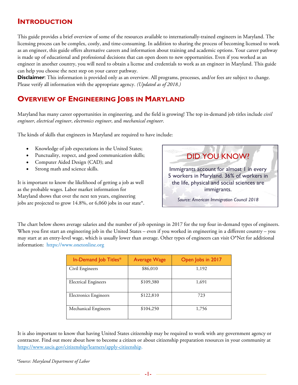# **INTRODUCTION**

This guide provides a brief overview of some of the resources available to internationally-trained engineers in Maryland. The licensing process can be complex, costly, and time-consuming. In addition to sharing the process of becoming licensed to work as an engineer, this guide offers alternative careers and information about training and academic options. Your career pathway is made up of educational and professional decisions that can open doors to new opportunities. Even if you worked as an engineer in another country, you will need to obtain a license and credentials to work as an engineer in Maryland. This guide can help you choose the next step on your career pathway.

**Disclaimer**: This information is provided only as an overview. All programs, processes, and/or fees are subject to change. Please verify all information with the appropriate agency. *(Updated as of 2018.)*

# **OVERVIEW OF ENGINEERING JOBS IN MARYLAND**

Maryland has many career opportunities in engineering, and the field is growing! The top in-demand job titles include *civil engineer*, *electrical engineer*, *electronics engineer*, and *mechanical engineer*.

The kinds of skills that engineers in Maryland are required to have include:

- Knowledge of job expectations in the United States;
- Punctuality, respect, and good communication skills;
- Computer Aided Design (CAD); and
- Strong math and science skills.

It is important to know the likelihood of getting a job as well as the probable wages. Labor market information for Maryland shows that over the next ten years, engineering jobs are projected to grow 14.8%, or 6,060 jobs in our state\*.

DID YOU KNOW? Immigrants account for almost 1 in every 5 workers in Maryland. 36% of workers in the life, physical and social sciences are immigrants. *Source: American Immigration Council 2018*

The chart below shows average salaries and the number of job openings in 2017 for the top four in-demand types of engineers. When you first start an engineering job in the United States – even if you worked in engineering in a different country – you may start at an entry-level wage, which is usually lower than average. Other types of engineers can visit O\*Net for additional information: https://www.onetonline.org

| In-Demand Job Titles*        | <b>Average Wage</b> | Open Jobs in 2017 |  |
|------------------------------|---------------------|-------------------|--|
| Civil Engineers              | \$86,010            | 1,192             |  |
| <b>Electrical Engineers</b>  | \$109,380           | 1,691             |  |
| <b>Electronics Engineers</b> | \$122,810           | 723               |  |
| Mechanical Engineers         | \$104,250           | 1,756             |  |

It is also important to know that having United States citizenship may be required to work with any government agency or contractor. Find out more about how to become a citizen or about citizenship preparation resources in your community at [https://www.uscis.gov/citizenship/learners/apply-citizenship.](https://www.uscis.gov/citizenship/learners/apply-citizenship)

*\*Source: Maryland Department of Labor*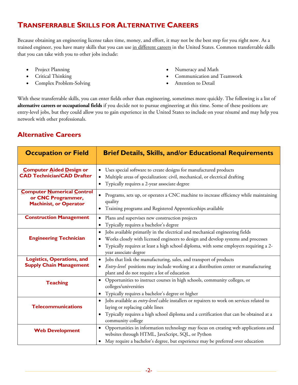# **TRANSFERRABLE SKILLS FOR ALTERNATIVE CAREERS**

Because obtaining an engineering license takes time, money, and effort, it may not be the best step for you right now. As a trained engineer, you have many skills that you can use in different careers in the United States. Common transferrable skills that you can take with you to other jobs include:

- Project Planning
- Critical Thinking
- Complex Problem-Solving
- Numeracy and Math
- Communication and Teamwork
- Attention to Detail

With these transferrable skills, you can enter fields other than engineering, sometimes more quickly. The following is a list of **alternative careers or occupational fields** if you decide not to pursue engineering at this time. Some of these positions are entry-level jobs, but they could allow you to gain experience in the United States to include on your résumé and may help you network with other professionals.

## **Alternative Careers**

| <b>Occupation or Field</b>                                                               | <b>Brief Details, Skills, and/or Educational Requirements</b>                                                                                                                                                                                                                                                              |  |  |
|------------------------------------------------------------------------------------------|----------------------------------------------------------------------------------------------------------------------------------------------------------------------------------------------------------------------------------------------------------------------------------------------------------------------------|--|--|
| <b>Computer Aided Design or</b><br><b>CAD Technician/CAD Drafter</b>                     | Uses special software to create designs for manufactured products<br>$\bullet$<br>Multiple areas of specialization: civil, mechanical, or electrical drafting<br>Typically requires a 2-year associate degree<br>$\bullet$                                                                                                 |  |  |
| <b>Computer Numerical Control</b><br>or CNC Programmer,<br><b>Machinist, or Operator</b> | Programs, sets up, or operates a CNC machine to increase efficiency while maintaining<br>$\bullet$<br>quality<br>Training programs and Registered Apprenticeships available                                                                                                                                                |  |  |
| <b>Construction Management</b>                                                           | Plans and supervises new construction projects<br>$\bullet$<br>Typically requires a bachelor's degree<br>$\bullet$                                                                                                                                                                                                         |  |  |
| <b>Engineering Technician</b>                                                            | Jobs available primarily in the electrical and mechanical engineering fields<br>$\bullet$<br>Works closely with licensed engineers to design and develop systems and processes<br>$\bullet$<br>Typically requires at least a high school diploma, with some employers requiring a 2-<br>$\bullet$<br>year associate degree |  |  |
| <b>Logistics, Operations, and</b><br><b>Supply Chain Management</b>                      | Jobs that link the manufacturing, sales, and transport of products<br>$\bullet$<br>Entry-level positions may include working at a distribution center or manufacturing<br>$\bullet$<br>plant and do not require a lot of education                                                                                         |  |  |
| <b>Teaching</b>                                                                          | Opportunities to instruct courses in high schools, community colleges, or<br>$\bullet$<br>colleges/universities<br>Typically requires a bachelor's degree or higher<br>$\bullet$                                                                                                                                           |  |  |
| <b>Telecommunications</b>                                                                | Jobs available as entry-level cable installers or repairers to work on services related to<br>$\bullet$<br>laying or replacing cable lines<br>Typically requires a high school diploma and a certification that can be obtained at a<br>$\bullet$<br>community college                                                     |  |  |
| <b>Web Development</b>                                                                   | Opportunities in information technology may focus on creating web applications and<br>$\bullet$<br>websites through HTML, JavaScript, SQL, or Python<br>May require a bachelor's degree, but experience may be preferred over education<br>$\bullet$                                                                       |  |  |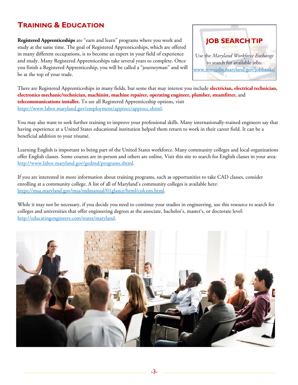# **TRAINING & EDUCATION**

**Registered Apprenticeships** are "earn and learn" programs where you work and study at the same time. The goal of Registered Apprenticeships, which are offered in many different occupations, is to become an expert in your field of experience and study. Many Registered Apprenticeships take several years to complete. Once you finish a Registered Apprenticeship, you will be called a "journeyman" and will be at the top of your trade.



There are Registered Apprenticeships in many fields, but some that may interest you include **electrician, electrical technician, electronics mechanic/technician, machinist, machine repairer, operating engineer, plumber, steamfitter,** and **telecommunications installer.** To see all Registered Apprenticeship options, visit [https://www.labor.maryland.gov/employment/approcc/approcc.shtml.](https://www.labor.maryland.gov/employment/approcc/approcc.shtml)

You may also want to seek further training to improve your professional skills. Many internationally-trained engineers say that having experience at a United States educational institution helped them return to work in their career field. It can be a beneficial addition to your résumé.

Learning English is important to being part of the United States workforce. Many community colleges and local organizations offer English classes. Some courses are in-person and others are online. Visit this site to search for English classes in your area: [http://www.labor.maryland.gov/gedmd/programs.shtml.](http://www.labor.maryland.gov/gedmd/programs.shtml)

If you are interested in more information about training programs, such as opportunities to take CAD classes, consider enrolling at a community college. A list of all of Maryland's community colleges is available here: [https://msa.maryland.gov/msa/mdmanual/01glance/html/colcom.html.](https://msa.maryland.gov/msa/mdmanual/01glance/html/colcom.html)

While it may not be necessary, if you decide you need to continue your studies in engineering, use this resource to search for colleges and universities that offer engineering degrees at the associate, bachelor's, master's, or doctorate level: [http://educatingengineers.com/states/maryland.](http://educatingengineers.com/states/maryland)

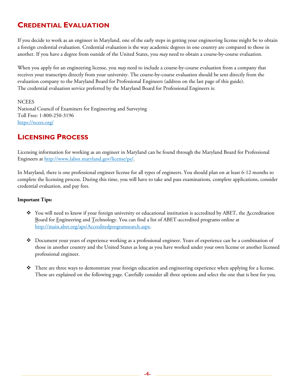# **CREDENTIAL EVALUATION**

If you decide to work as an engineer in Maryland, one of the early steps in getting your engineering license might be to obtain a foreign credential evaluation. Credential evaluation is the way academic degrees in one country are compared to those in another. If you have a degree from outside of the United States, you *may* need to obtain a course-by-course evaluation.

When you apply for an engineering license, you *may* need to include a course-by-course evaluation from a company that receives your transcripts directly from your university. The course-by-course evaluation should be sent directly from the evaluation company to the Maryland Board for Professional Engineers (address on the last page of this guide). The credential evaluation service preferred by the Maryland Board for Professional Engineers is:

**NCEES** 

National Council of Examiners for Engineering and Surveying Toll Free: 1-800-250-3196 <https://ncees.org/>

# **LICENSING PROCESS**

Licensing information for working as an engineer in Maryland can be found through the Maryland Board for Professional Engineers at [http://www.labor.maryland.gov/license/pe/.](http://www.labor.maryland.gov/license/pe/)

In Maryland, there is one professional engineer license for all types of engineers. You should plan on at least 6-12 months to complete the licensing process. During this time, you will have to take and pass examinations, complete applications, consider credential evaluation, and pay fees.

### **Important Tips:**

- You will need to know if your foreign university or educational institution is accredited by ABET, the Accreditation Board for Engineering and Technology. You can find a list of ABET-accredited programs online at [http://main.abet.org/aps/Accreditedprogramsearch.aspx.](http://main.abet.org/aps/Accreditedprogramsearch.aspx)
- Document your years of experience working as a professional engineer. Years of experience can be a combination of those in another country and the United States as long as you have worked under your own license or another licensed professional engineer.
- $\bullet$  There are three ways to demonstrate your foreign education and engineering experience when applying for a license. These are explained on the following page. Carefully consider all three options and select the one that is best for you.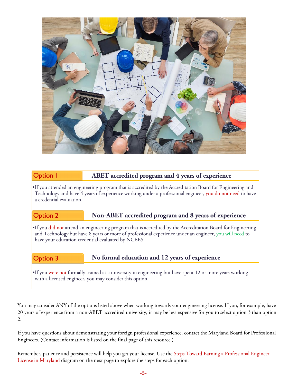

### Option 1 **ABET accredited program and 4 years of experience**

•If you attended an engineering program that is accredited by the Accreditation Board for Engineering and Technology and have 4 years of experience working under a professional engineer, you do not need to have a credential evaluation.

### Option 2 **Non-ABET accredited program and 8 years of experience**

•If you did not attend an engineering program that is accredited by the Accreditation Board for Engineering and Technology but have 8 years or more of professional experience under an engineer, you will need to have your education credential evaluated by NCEES.

### Option 3 **No formal education and 12 years of experience**

•If you were not formally trained at a university in engineering but have spent 12 or more years working with a licensed engineer, you may consider this option.

You may consider ANY of the options listed above when working towards your engineering license. If you, for example, have 20 years of experience from a non-ABET accredited university, it may be less expensive for you to select option 3 than option 2.

If you have questions about demonstrating your foreign professional experience, contact the Maryland Board for Professional Engineers. (Contact information is listed on the final page of this resource.)

Remember, patience and persistence will help you get your license. Use the Steps Toward Earning a Professional Engineer License in Maryland diagram on the next page to explore the steps for each option.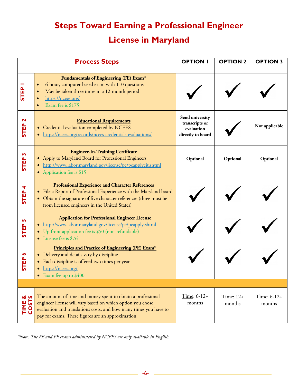# **Steps Toward Earning a Professional Engineer License in Maryland**

|                                      | <b>Process Steps</b>                                                                                                                                                                                                                                  | <b>OPTION I</b>                                                      | <b>OPTION 2</b>     | <b>OPTION 3</b>         |
|--------------------------------------|-------------------------------------------------------------------------------------------------------------------------------------------------------------------------------------------------------------------------------------------------------|----------------------------------------------------------------------|---------------------|-------------------------|
| <b>STEP</b>                          | <b>Fundamentals of Engineering (FE) Exam*</b><br>6-hour, computer-based exam with 110 questions<br>$\bullet$<br>May be taken three times in a 12-month period<br>$\bullet$<br>https://ncees.org/<br>$\bullet$<br>Exam fee is \$175                    |                                                                      |                     |                         |
| $\mathbf{\mathbf{z}}$<br><b>STEP</b> | <b>Educational Requirements</b><br>Credential evaluation completed by NCEES<br>https://ncees.org/records/ncees-credentials-evaluations/                                                                                                               | Send university<br>transcripts or<br>evaluation<br>directly to board |                     | Not applicable          |
| m<br><b>STEP</b>                     | <b>Engineer-In-Training Certificate</b><br>Apply to Maryland Board for Professional Engineers<br>http://www.labor.maryland.gov/license/pe/peapplyeit.shtml<br>Application fee is \$15                                                                 | Optional                                                             | Optional            | Optional                |
| STEP <sub>4</sub>                    | <b>Professional Experience and Character References</b><br>File a Report of Professional Experience with the Maryland board<br>• Obtain the signature of five character references (three must be<br>from licensed engineers in the United States)    |                                                                      |                     |                         |
| STEP <sub>5</sub>                    | <b>Application for Professional Engineer License</b><br>http://www.labor.maryland.gov/license/pe/peapply.shtml<br>• Up front application fee is \$50 (non-refundable)<br>License fee is \$76                                                          |                                                                      |                     |                         |
| <b>STEP</b>                          | Principles and Practice of Engineering (PE) Exam*<br>• Delivery and details vary by discipline<br>Each discipline is offered two times per year<br>https://ncees.org/<br>Exam fee up to \$400<br>$\bullet$                                            |                                                                      |                     |                         |
|                                      |                                                                                                                                                                                                                                                       |                                                                      |                     |                         |
| TIME &<br>COSTS                      | The amount of time and money spent to obtain a professional<br>engineer license will vary based on which option you chose,<br>evaluation and translations costs, and how many times you have to<br>pay for exams. These figures are an approximation. | $Time: 6-12+$<br>months                                              | Time: 12+<br>months | Time: $6-12+$<br>months |

*\*Note: The FE and PE exams administered by NCEES are only available in English.*